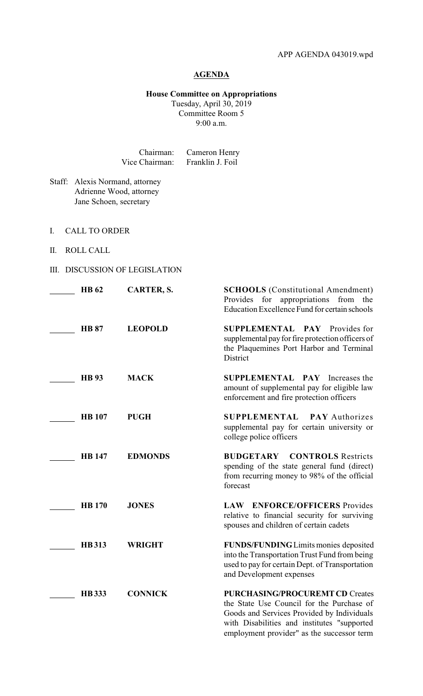## **AGENDA**

## **House Committee on Appropriations** Tuesday, April 30, 2019 Committee Room 5

9:00 a.m.

| Chairman:      | Cameron Henry    |
|----------------|------------------|
| Vice Chairman: | Franklin J. Foil |

- Staff: Alexis Normand, attorney Adrienne Wood, attorney Jane Schoen, secretary
- I. CALL TO ORDER
- II. ROLL CALL
- III. DISCUSSION OF LEGISLATION

| <b>HB</b> <sub>62</sub> | CARTER, S.     | <b>SCHOOLS</b> (Constitutional Amendment)<br>Provides for appropriations<br>from the<br>Education Excellence Fund for certain schools                                                                                          |
|-------------------------|----------------|--------------------------------------------------------------------------------------------------------------------------------------------------------------------------------------------------------------------------------|
| <b>HB 87</b>            | <b>LEOPOLD</b> | <b>SUPPLEMENTAL PAY Provides for</b><br>supplemental pay for fire protection officers of<br>the Plaquemines Port Harbor and Terminal<br>District                                                                               |
| <b>HB</b> 93            | <b>MACK</b>    | <b>SUPPLEMENTAL PAY Increases the</b><br>amount of supplemental pay for eligible law<br>enforcement and fire protection officers                                                                                               |
| <b>HB</b> 107           | <b>PUGH</b>    | <b>SUPPLEMENTAL</b><br><b>PAY</b> Authorizes<br>supplemental pay for certain university or<br>college police officers                                                                                                          |
| <b>HB</b> 147           | <b>EDMONDS</b> | <b>CONTROLS</b> Restricts<br><b>BUDGETARY</b><br>spending of the state general fund (direct)<br>from recurring money to 98% of the official<br>forecast                                                                        |
| <b>HB</b> 170           | <b>JONES</b>   | <b>ENFORCE/OFFICERS</b> Provides<br><b>LAW</b><br>relative to financial security for surviving<br>spouses and children of certain cadets                                                                                       |
| <b>HB313</b>            | <b>WRIGHT</b>  | FUNDS/FUNDING Limits monies deposited<br>into the Transportation Trust Fund from being<br>used to pay for certain Dept. of Transportation<br>and Development expenses                                                          |
| <b>HB</b> 333           | <b>CONNICK</b> | <b>PURCHASING/PROCUREMT CD Creates</b><br>the State Use Council for the Purchase of<br>Goods and Services Provided by Individuals<br>with Disabilities and institutes "supported<br>employment provider" as the successor term |